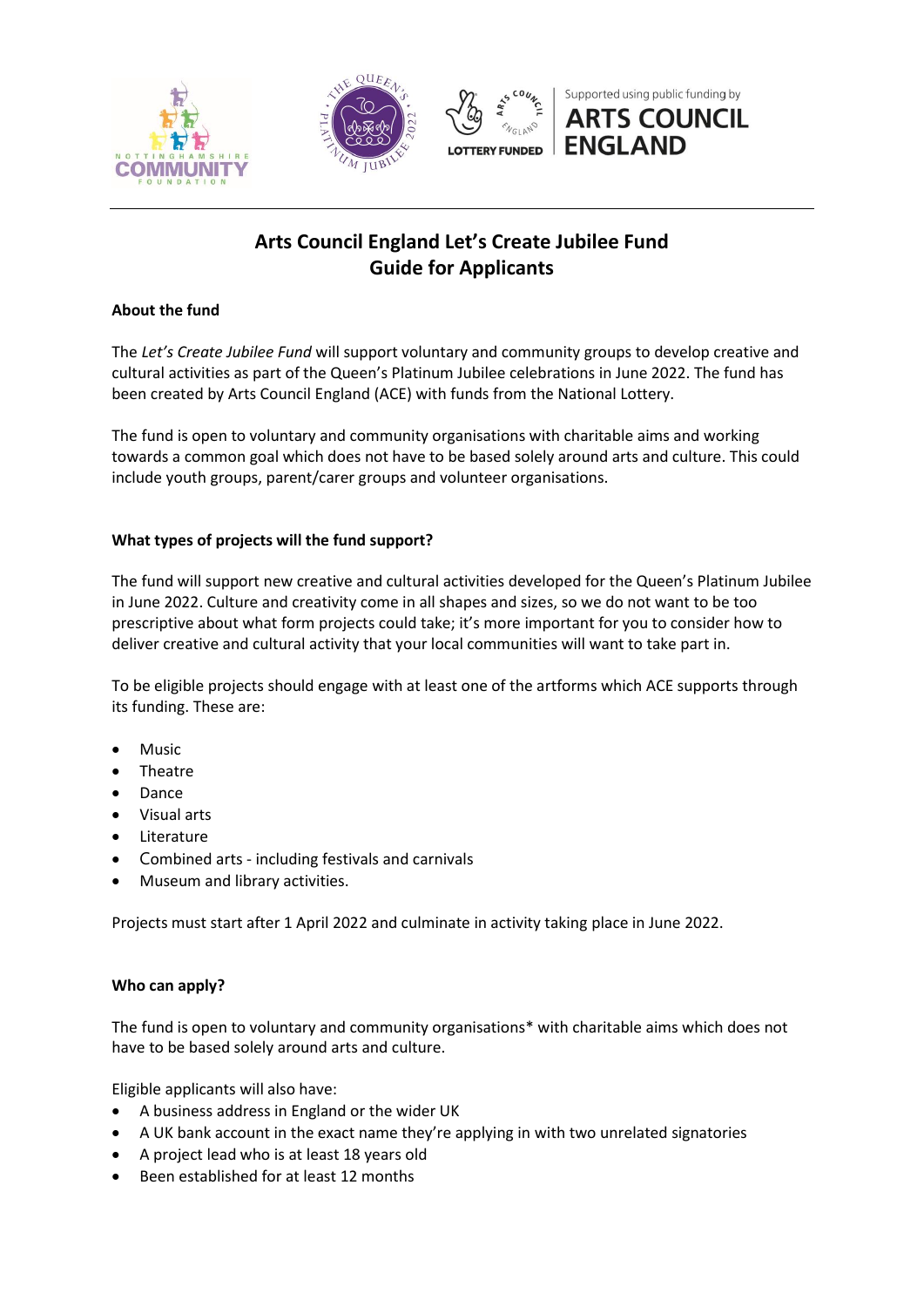

# **Arts Council England Let's Create Jubilee Fund Guide for Applicants**

## **About the fund**

The *Let's Create Jubilee Fund* will support voluntary and community groups to develop creative and cultural activities as part of the Queen's Platinum Jubilee celebrations in June 2022. The fund has been created by Arts Council England (ACE) with funds from the National Lottery.

The fund is open to voluntary and community organisations with charitable aims and working towards a common goal which does not have to be based solely around arts and culture. This could include youth groups, parent/carer groups and volunteer organisations.

## **What types of projects will the fund support?**

The fund will support new creative and cultural activities developed for the Queen's Platinum Jubilee in June 2022. Culture and creativity come in all shapes and sizes, so we do not want to be too prescriptive about what form projects could take; it's more important for you to consider how to deliver creative and cultural activity that your local communities will want to take part in.

To be eligible projects should engage with at least one of the artforms which ACE supports through its funding. These are:

- Music
- Theatre
- Dance
- Visual arts
- Literature
- Combined arts including festivals and carnivals
- Museum and library activities.

Projects must start after 1 April 2022 and culminate in activity taking place in June 2022.

## **Who can apply?**

The fund is open to voluntary and community organisations\* with charitable aims which does not have to be based solely around arts and culture.

Eligible applicants will also have:

- A business address in England or the wider UK
- A UK bank account in the exact name they're applying in with two unrelated signatories
- A project lead who is at least 18 years old
- Been established for at least 12 months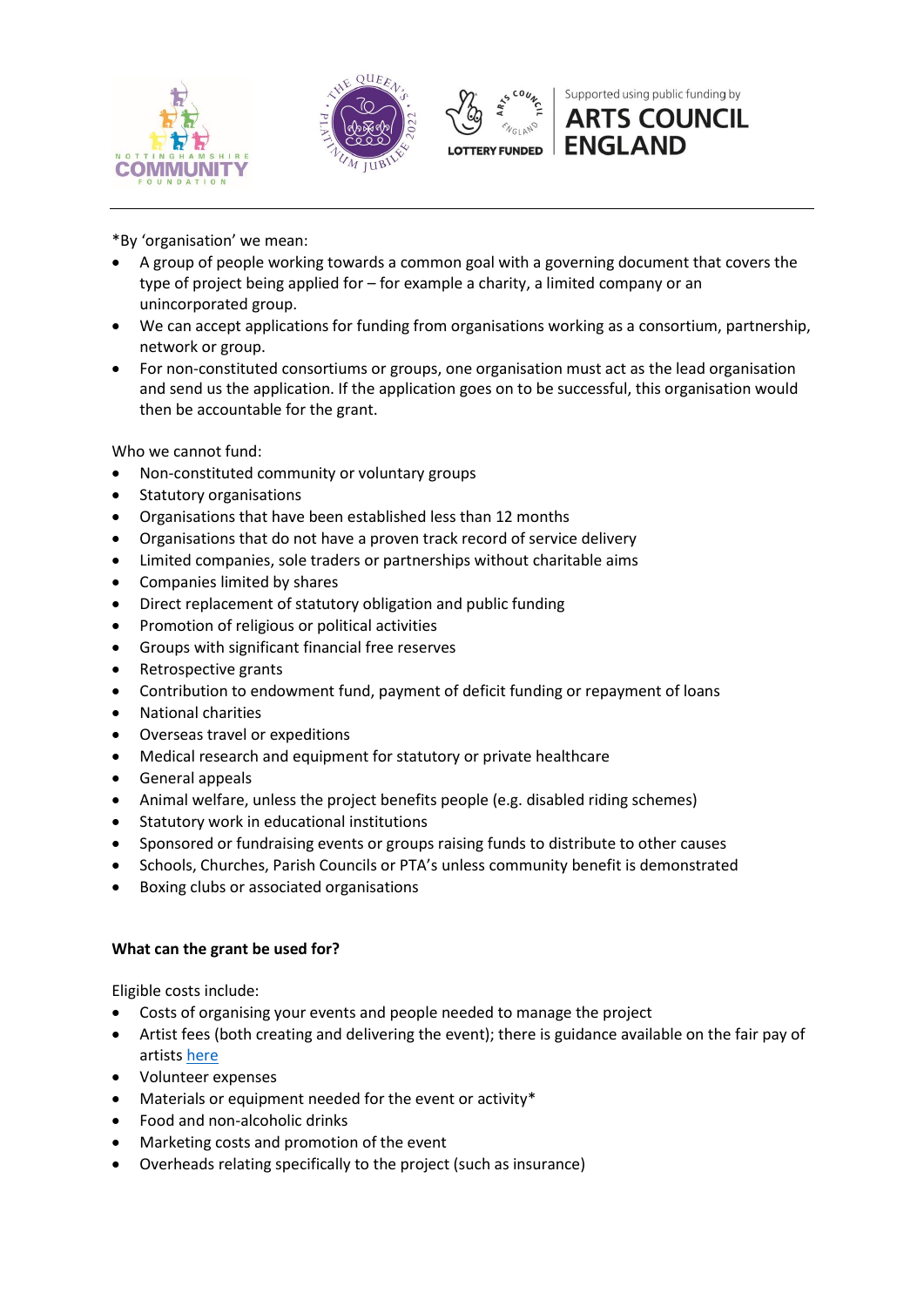





Supported using public funding by **ARTS COUNCIL** 

**ENGLAND** 

\*By 'organisation' we mean:

- A group of people working towards a common goal with a governing document that covers the type of project being applied for – for example a charity, a limited company or an unincorporated group.
- We can accept applications for funding from organisations working as a consortium, partnership, network or group.
- For non-constituted consortiums or groups, one organisation must act as the lead organisation and send us the application. If the application goes on to be successful, this organisation would then be accountable for the grant.

Who we cannot fund:

- Non-constituted community or voluntary groups
- Statutory organisations
- Organisations that have been established less than 12 months
- Organisations that do not have a proven track record of service delivery
- Limited companies, sole traders or partnerships without charitable aims
- Companies limited by shares
- Direct replacement of statutory obligation and public funding
- Promotion of religious or political activities
- Groups with significant financial free reserves
- Retrospective grants
- Contribution to endowment fund, payment of deficit funding or repayment of loans
- National charities
- Overseas travel or expeditions
- Medical research and equipment for statutory or private healthcare
- General appeals
- Animal welfare, unless the project benefits people (e.g. disabled riding schemes)
- Statutory work in educational institutions
- Sponsored or fundraising events or groups raising funds to distribute to other causes
- Schools, Churches, Parish Councils or PTA's unless community benefit is demonstrated
- Boxing clubs or associated organisations

## **What can the grant be used for?**

Eligible costs include:

- Costs of organising your events and people needed to manage the project
- Artist fees (both creating and delivering the event); there is guidance available on the fair pay of artists [here](https://www.artscouncil.org.uk/sites/default/files/download-file/ACNLPG_Fair_pay_0.pdf)
- Volunteer expenses
- Materials or equipment needed for the event or activity\*
- Food and non-alcoholic drinks
- Marketing costs and promotion of the event
- Overheads relating specifically to the project (such as insurance)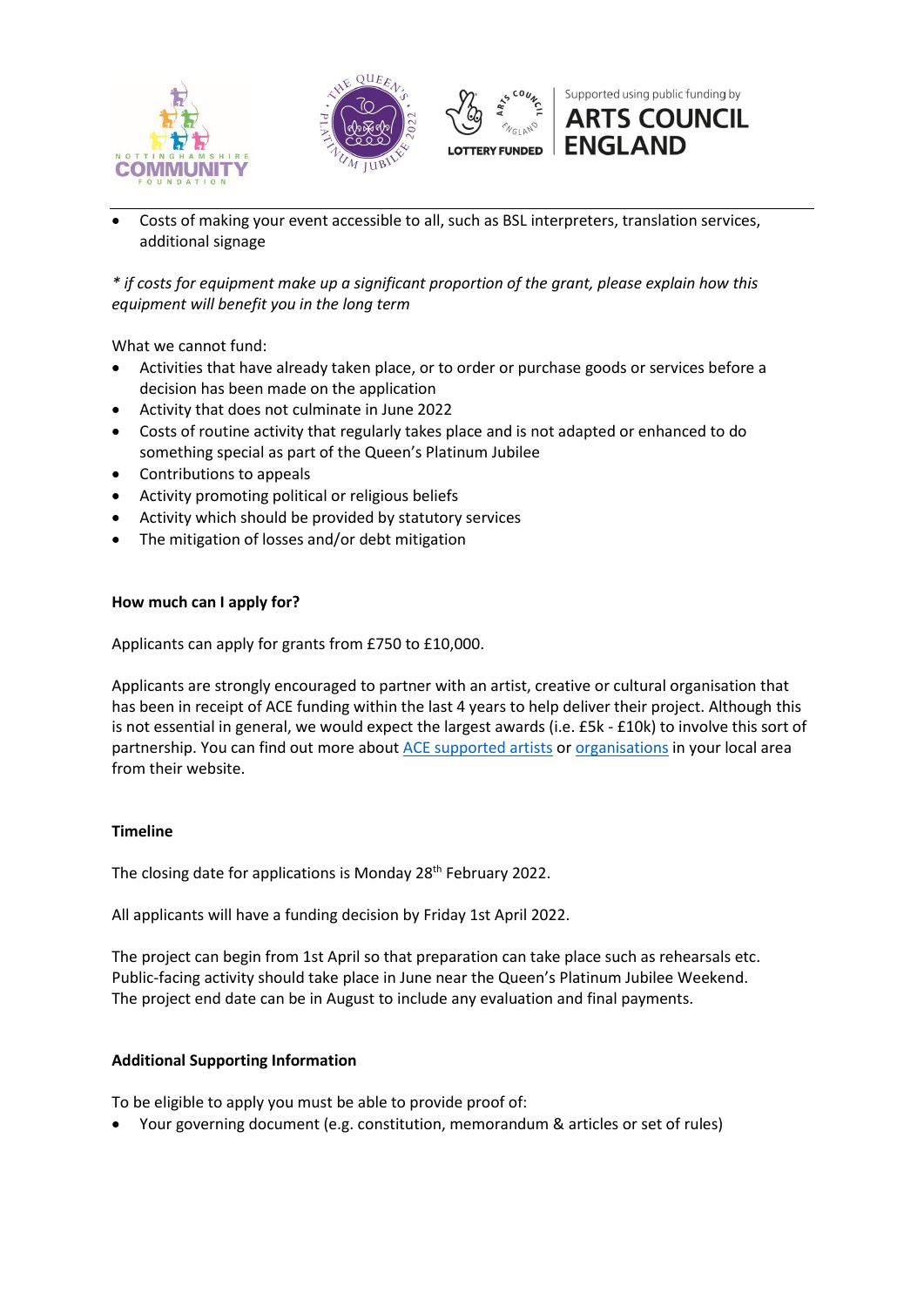





Supported using public funding by **ARTS COUNCIL ENGLAND** 

 Costs of making your event accessible to all, such as BSL interpreters, translation services, additional signage

*\* if costs for equipment make up a significant proportion of the grant, please explain how this equipment will benefit you in the long term* 

What we cannot fund:

- Activities that have already taken place, or to order or purchase goods or services before a decision has been made on the application
- Activity that does not culminate in June 2022
- Costs of routine activity that regularly takes place and is not adapted or enhanced to do something special as part of the Queen's Platinum Jubilee
- Contributions to appeals
- Activity promoting political or religious beliefs
- Activity which should be provided by statutory services
- The mitigation of losses and/or debt mitigation

#### **How much can I apply for?**

Applicants can apply for grants from £750 to £10,000.

Applicants are strongly encouraged to partner with an artist, creative or cultural organisation that has been in receipt of ACE funding within the last 4 years to help deliver their project. Although this is not essential in general, we would expect the largest awards (i.e. £5k - £10k) to involve this sort of partnership. You can find out more about [ACE supported artists](https://www.artscouncil.org.uk/national-lottery-project-grants/project-grants-data) or [organisations](https://www.artscouncil.org.uk/funding-map-2018-2022) in your local area from their website.

#### **Timeline**

The closing date for applications is Monday 28<sup>th</sup> February 2022.

All applicants will have a funding decision by Friday 1st April 2022.

The project can begin from 1st April so that preparation can take place such as rehearsals etc. Public-facing activity should take place in June near the Queen's Platinum Jubilee Weekend. The project end date can be in August to include any evaluation and final payments.

#### **Additional Supporting Information**

To be eligible to apply you must be able to provide proof of:

Your governing document (e.g. constitution, memorandum & articles or set of rules)